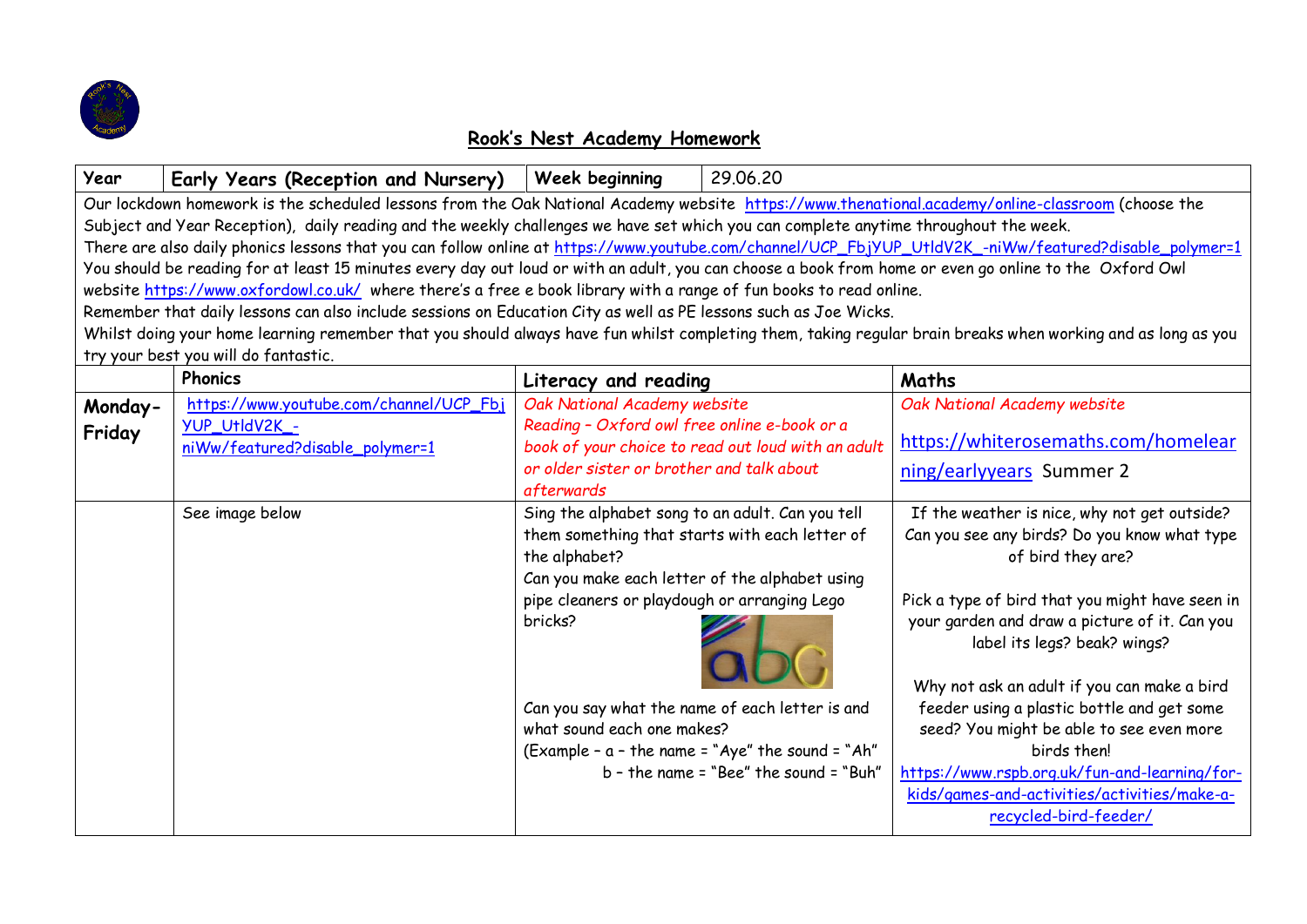

## **Rook's Nest Academy Homework**

| Year                                                                                                                                                         | Early Years (Reception and Nursery)     | 29.06.20<br>Week beginning                                                                          |                                                                                           |
|--------------------------------------------------------------------------------------------------------------------------------------------------------------|-----------------------------------------|-----------------------------------------------------------------------------------------------------|-------------------------------------------------------------------------------------------|
| Our lockdown homework is the scheduled lessons from the Oak National Academy website https://www.thenational.academy/online-classroom (choose the            |                                         |                                                                                                     |                                                                                           |
| Subject and Year Reception), daily reading and the weekly challenges we have set which you can complete anytime throughout the week.                         |                                         |                                                                                                     |                                                                                           |
| There are also daily phonics lessons that you can follow online at https://www.youtube.com/channel/UCP_FbjYUP_UtldV2K_-niWw/featured?disable_polymer=1       |                                         |                                                                                                     |                                                                                           |
| You should be reading for at least 15 minutes every day out loud or with an adult, you can choose a book from home or even go online to the Oxford Owl       |                                         |                                                                                                     |                                                                                           |
| website https://www.oxfordowl.co.uk/ where there's a free e book library with a range of fun books to read online.                                           |                                         |                                                                                                     |                                                                                           |
| Remember that daily lessons can also include sessions on Education City as well as PE lessons such as Joe Wicks.                                             |                                         |                                                                                                     |                                                                                           |
| Whilst doing your home learning remember that you should always have fun whilst completing them, taking regular brain breaks when working and as long as you |                                         |                                                                                                     |                                                                                           |
| try your best you will do fantastic.                                                                                                                         |                                         |                                                                                                     |                                                                                           |
|                                                                                                                                                              | <b>Phonics</b>                          | Literacy and reading                                                                                | Maths                                                                                     |
| Monday-                                                                                                                                                      | https://www.youtube.com/channel/UCP_Fbj | Oak National Academy website                                                                        | Oak National Academy website                                                              |
| Friday                                                                                                                                                       | YUP UtldV2K -                           | Reading - Oxford owl free online e-book or a                                                        |                                                                                           |
|                                                                                                                                                              | niWw/featured?disable_polymer=1         | book of your choice to read out loud with an adult                                                  | https://whiterosemaths.com/homelear                                                       |
|                                                                                                                                                              |                                         | or older sister or brother and talk about                                                           | ning/earlyyears Summer 2                                                                  |
|                                                                                                                                                              |                                         | afterwards                                                                                          |                                                                                           |
|                                                                                                                                                              | See image below                         | Sing the alphabet song to an adult. Can you tell                                                    | If the weather is nice, why not get outside?                                              |
|                                                                                                                                                              |                                         | them something that starts with each letter of                                                      | Can you see any birds? Do you know what type                                              |
|                                                                                                                                                              |                                         | the alphabet?                                                                                       | of bird they are?                                                                         |
|                                                                                                                                                              |                                         | Can you make each letter of the alphabet using                                                      |                                                                                           |
|                                                                                                                                                              |                                         | pipe cleaners or playdough or arranging Lego                                                        | Pick a type of bird that you might have seen in                                           |
|                                                                                                                                                              |                                         | bricks?                                                                                             | your garden and draw a picture of it. Can you                                             |
|                                                                                                                                                              |                                         |                                                                                                     | label its legs? beak? wings?                                                              |
|                                                                                                                                                              |                                         |                                                                                                     |                                                                                           |
|                                                                                                                                                              |                                         |                                                                                                     |                                                                                           |
|                                                                                                                                                              |                                         | what sound each one makes?                                                                          | seed? You might be able to see even more                                                  |
|                                                                                                                                                              |                                         |                                                                                                     | birds then!                                                                               |
|                                                                                                                                                              |                                         | $b$ - the name = "Bee" the sound = "Buh"                                                            | https://www.rspb.org.uk/fun-and-learning/for-                                             |
|                                                                                                                                                              |                                         |                                                                                                     | kids/games-and-activities/activities/make-a-                                              |
|                                                                                                                                                              |                                         |                                                                                                     | recycled-bird-feeder/                                                                     |
|                                                                                                                                                              |                                         | Can you say what the name of each letter is and<br>(Example - a - the name = "Aye" the sound = "Ah" | Why not ask an adult if you can make a bird<br>feeder using a plastic bottle and get some |